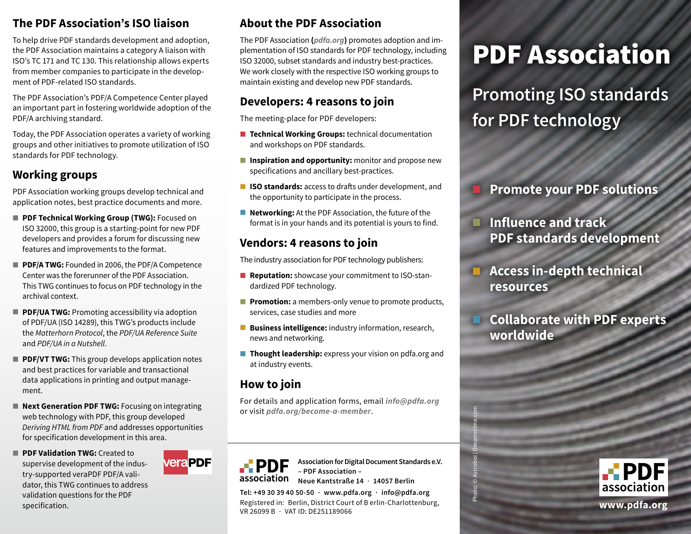## **The PDF Association's ISO liaison**

To help drive PDF standards development and adoption, the PDF Association maintains a category A liaison with ISO's TC 171 and TC 130. This relationship allows experts from member companies to participate in the development of PDF-related ISO standards.

The PDF Association's PDF/A Competence Center played an important part in fostering worldwide adoption of the PDF/A archiving standard.

Today, the PDF Association operates a variety of working groups and other initiatives to promote utilization of ISO standards for PDF technology.

## **Working groups**

PDF Association working groups develop technical and application notes, best practice documents and more.

- **PDF Technical Working Group (TWG):** Focused on ISO 32000, this group is a starting-point for new PDF developers and provides a forum for discussing new features and improvements to the format.
- **PDF/A TWG:** Founded in 2006, the PDF/A Competence Center was the forerunner of the PDF Association. This TWG continues to focus on PDF technology in the archival context.
- **PDF/UA TWG: Promoting accessibility via adoption** of PDF/UA (ISO 14289), this TWG's products include the *Matterhorn Protocol*, the *PDF/UA Reference Suite*  and *PDF/UA in a Nutshell*.
- **PDF/VT TWG:** This group develops application notes and best practices for variable and transactional data applications in printing and output management.
- **Next Generation PDF TWG:** Focusing on integrating web technology with PDF, this group developed *Deriving HTML from PDF* and addresses opportunities for specification development in this area.
- **E** PDF Validation TWG: Created to supervise development of the industry-supported veraPDF PDF/A validator, this TWG continues to address validation questions for the PDF specification.



# **About the PDF Association**

The PDF Association **(***pdfa.org***)** promotes adoption and implementation of ISO standards for PDF technology, including ISO 32000, subset standards and industry best-practices. We work closely with the respective ISO working groups to maintain existing and develop new PDF standards.

## **Developers: 4 reasons to join**

The meeting-place for PDF developers:

- **Technical Working Groups:** technical documentation and workshops on PDF standards.
- **E** Inspiration and opportunity: monitor and propose new specifications and ancillary best-practices.
- **ISO standards:** access to drafts under development, and the opportunity to participate in the process.
- **Networking:** At the PDF Association, the future of the format is in your hands and its potential is yours to find.

## **Vendors: 4 reasons to join**

The industry association for PDF technology publishers:

- **Reputation:** showcase your commitment to ISO-standardized PDF technology.
- **Promotion:** a members-only venue to promote products, services, case studies and more
- **Business intelligence:** industry information, research, news and networking.
- **Thought leadership:** express your vision on pdfa.org and at industry events.

# **How to join**

For details and application forms, email *[info@pdfa.org](mailto:info%40pdfa.org?subject=)* or visit *pdfa.org/become-a-member*.



**Association for Digital Document Standards e.V. – PDF Association – Neue Kantstraße 14** · **14057 Berlin**

Photo: © Astroboi | Dreamstime.com

**Tel: +49 30 39 40 50-50 · www.pdfa.org · info@pdfa.org**

Registered in: Berlin, District Court of B erlin-Charlottenburg, VR 26099 B · VAT ID: DE251189066

# PDF Association

**Promoting ISO standards for PDF technology** 

# █ **Promote your PDF solutions**

- **Influence and track PDF standards development**
- █ **Access in-depth technical resources**

█ **Collaborate with PDF experts worldwide**